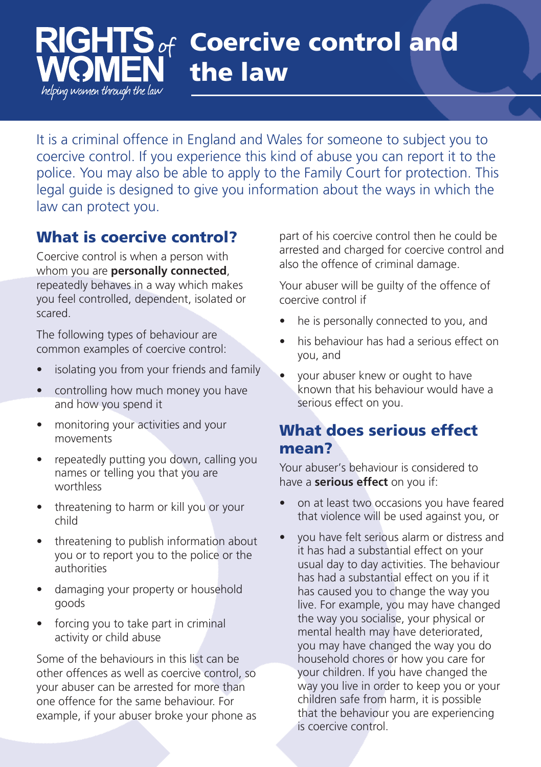#### **Coercive control and**  $S$  of RIGHI **the law** helping women through the law

It is a criminal offence in England and Wales for someone to subject you to coercive control. If you experience this kind of abuse you can report it to the police. You may also be able to apply to the Family Court for protection. This legal guide is designed to give you information about the ways in which the law can protect you.

# **What is coercive control?**

Coercive control is when a person with whom you are **personally connected**, repeatedly behaves in a way which makes you feel controlled, dependent, isolated or scared.

The following types of behaviour are common examples of coercive control:

- isolating you from your friends and family
- controlling how much money you have and how you spend it
- monitoring your activities and your movements
- repeatedly putting you down, calling you names or telling you that you are worthless
- threatening to harm or kill you or your child
- threatening to publish information about you or to report you to the police or the authorities
- damaging your property or household goods
- forcing you to take part in criminal activity or child abuse

Some of the behaviours in this list can be other offences as well as coercive control, so your abuser can be arrested for more than one offence for the same behaviour. For example, if your abuser broke your phone as part of his coercive control then he could be arrested and charged for coercive control and also the offence of criminal damage.

Your abuser will be guilty of the offence of coercive control if

- he is personally connected to you, and
- his behaviour has had a serious effect on you, and
- your abuser knew or ought to have known that his behaviour would have a serious effect on you.

# **What does serious effect mean?**

Your abuser's behaviour is considered to have a **serious effect** on you if:

- on at least two occasions you have feared that violence will be used against you, or
- you have felt serious alarm or distress and it has had a substantial effect on your usual day to day activities. The behaviour has had a substantial effect on you if it has caused you to change the way you live. For example, you may have changed the way you socialise, your physical or mental health may have deteriorated, you may have changed the way you do household chores or how you care for your children. If you have changed the way you live in order to keep you or your children safe from harm, it is possible that the behaviour you are experiencing is coercive control.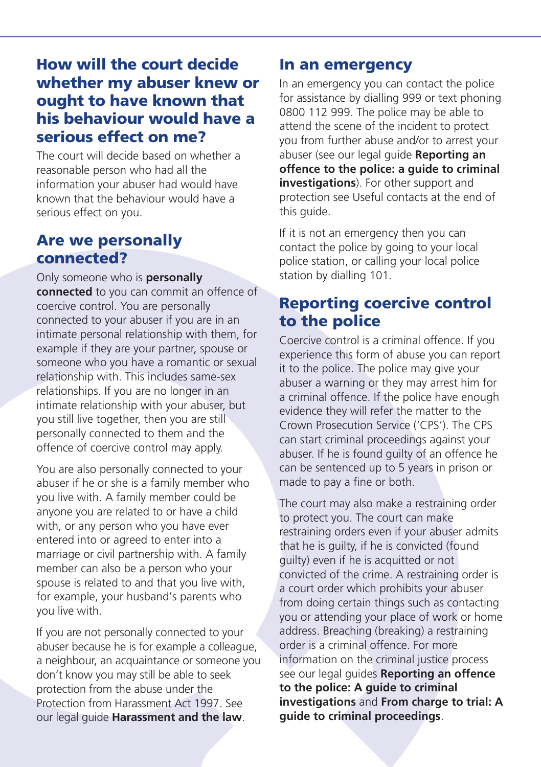### **How will the court decide whether my abuser knew or ought to have known that his behaviour would have a serious effect on me?**

The court will decide based on whether a reasonable person who had all the information your abuser had would have known that the behaviour would have a serious effect on you.

### **Are we personally connected?**

#### Only someone who is **personally**

**connected** to you can commit an offence of coercive control. You are personally connected to your abuser if you are in an intimate personal relationship with them, for example if they are your partner, spouse or someone who you have a romantic or sexual relationship with. This includes same-sex relationships. If you are no longer in an intimate relationship with your abuser, but you still live together, then you are still personally connected to them and the offence of coercive control may apply.

You are also personally connected to your abuser if he or she is a family member who you live with. A family member could be anyone you are related to or have a child with, or any person who you have ever entered into or agreed to enter into a marriage or civil partnership with. A family member can also be a person who your spouse is related to and that you live with, for example, your husband's parents who you live with.

If you are not personally connected to your abuser because he is for example a colleague, a neighbour, an acquaintance or someone you don't know you may still be able to seek protection from the abuse under the Protection from Harassment Act 1997. See our legal guide **Harassment and the law**.

#### **In an emergency**

In an emergency you can contact the police for assistance by dialling 999 or text phoning 0800 112 999. The police may be able to attend the scene of the incident to protect you from further abuse and/or to arrest your abuser (see our legal guide **Reporting an offence to the police: a guide to criminal investigations**). For other support and protection see Useful contacts at the end of this guide.

If it is not an emergency then you can contact the police by going to your local police station, or calling your local police station by dialling 101.

## **Reporting coercive control to the police**

Coercive control is a criminal offence. If you experience this form of abuse you can report it to the police. The police may give your abuser a warning or they may arrest him for a criminal offence. If the police have enough evidence they will refer the matter to the Crown Prosecution Service ('CPS'). The CPS can start criminal proceedings against your abuser. If he is found guilty of an offence he can be sentenced up to 5 years in prison or made to pay a fine or both.

The court may also make a restraining order to protect you. The court can make restraining orders even if your abuser admits that he is guilty, if he is convicted (found guilty) even if he is acquitted or not convicted of the crime. A restraining order is a court order which prohibits your abuser from doing certain things such as contacting you or attending your place of work or home address. Breaching (breaking) a restraining order is a criminal offence. For more information on the criminal justice process see our legal guides **Reporting an offence to the police: A guide to criminal investigations** and **From charge to trial: A guide to criminal proceedings**.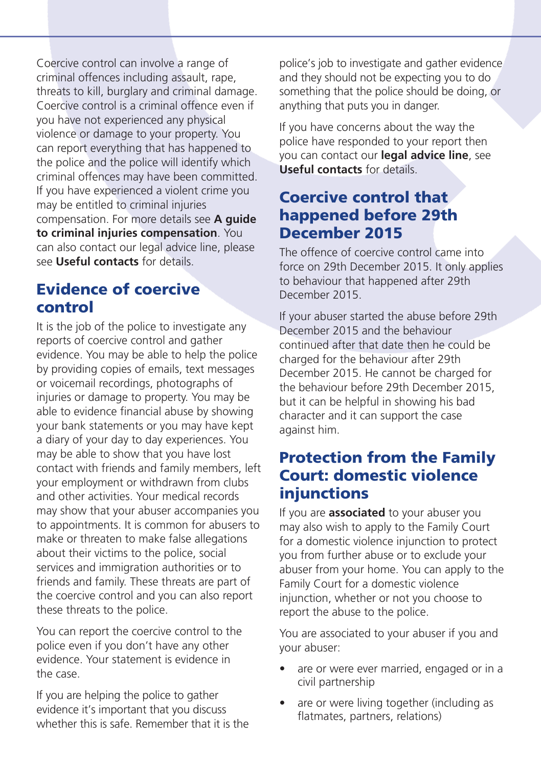Coercive control can involve a range of criminal offences including assault, rape, threats to kill, burglary and criminal damage. Coercive control is a criminal offence even if you have not experienced any physical violence or damage to your property. You can report everything that has happened to the police and the police will identify which criminal offences may have been committed. If you have experienced a violent crime you may be entitled to criminal injuries compensation. For more details see **A guide to criminal injuries compensation**. You can also contact our legal advice line, please see **Useful contacts** for details.

### **Evidence of coercive control**

It is the job of the police to investigate any reports of coercive control and gather evidence. You may be able to help the police by providing copies of emails, text messages or voicemail recordings, photographs of injuries or damage to property. You may be able to evidence financial abuse by showing your bank statements or you may have kept a diary of your day to day experiences. You may be able to show that you have lost contact with friends and family members, left your employment or withdrawn from clubs and other activities. Your medical records may show that your abuser accompanies you to appointments. It is common for abusers to make or threaten to make false allegations about their victims to the police, social services and immigration authorities or to friends and family. These threats are part of the coercive control and you can also report these threats to the police.

You can report the coercive control to the police even if you don't have any other evidence. Your statement is evidence in the case.

If you are helping the police to gather evidence it's important that you discuss whether this is safe. Remember that it is the police's job to investigate and gather evidence and they should not be expecting you to do something that the police should be doing, or anything that puts you in danger.

If you have concerns about the way the police have responded to your report then you can contact our **legal advice line**, see **Useful contacts** for details.

### **Coercive control that happened before 29th December 2015**

The offence of coercive control came into force on 29th December 2015. It only applies to behaviour that happened after 29th December 2015.

If your abuser started the abuse before 29th December 2015 and the behaviour continued after that date then he could be charged for the behaviour after 29th December 2015. He cannot be charged for the behaviour before 29th December 2015, but it can be helpful in showing his bad character and it can support the case against him.

### **Protection from the Family Court: domestic violence injunctions**

If you are **associated** to your abuser you may also wish to apply to the Family Court for a domestic violence injunction to protect you from further abuse or to exclude your abuser from your home. You can apply to the Family Court for a domestic violence injunction, whether or not you choose to report the abuse to the police.

You are associated to your abuser if you and your abuser:

- are or were ever married, engaged or in a civil partnership
- are or were living together (including as flatmates, partners, relations)